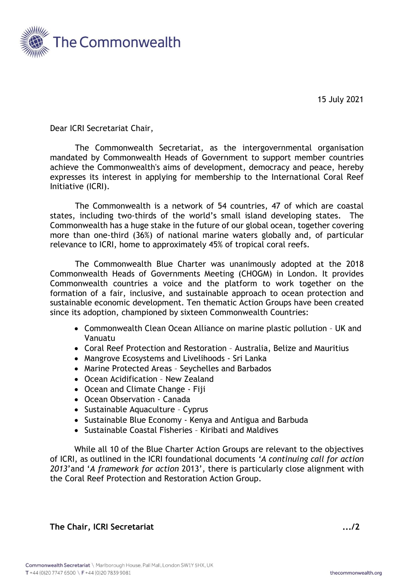

15 July 2021

Dear ICRI Secretariat Chair,

The Commonwealth Secretariat, as the intergovernmental organisation mandated by Commonwealth Heads of Government to support member countries achieve the Commonwealth's aims of development, democracy and peace, hereby expresses its interest in applying for membership to the International Coral Reef Initiative (ICRI).

The Commonwealth is a network of 54 countries, 47 of which are coastal states, including two-thirds of the world's small island developing states. The Commonwealth has a huge stake in the future of our global ocean, together covering more than one-third (36%) of national marine waters globally and, of particular relevance to ICRI, home to approximately 45% of tropical coral reefs.

The Commonwealth Blue Charter was unanimously adopted at the 2018 Commonwealth Heads of Governments Meeting (CHOGM) in London. It provides Commonwealth countries a voice and the platform to work together on the formation of a fair, inclusive, and sustainable approach to ocean protection and sustainable economic development. Ten thematic Action Groups have been created since its adoption, championed by sixteen Commonwealth Countries:

- Commonwealth Clean Ocean Alliance on marine plastic pollution UK and Vanuatu
- Coral Reef Protection and Restoration Australia, Belize and Mauritius
- Mangrove Ecosystems and Livelihoods Sri Lanka
- Marine Protected Areas Seychelles and Barbados
- Ocean Acidification New Zealand
- Ocean and Climate Change Fiji
- Ocean Observation Canada
- Sustainable Aquaculture Cyprus
- Sustainable Blue Economy Kenya and Antigua and Barbuda
- Sustainable Coastal Fisheries Kiribati and Maldives

While all 10 of the Blue Charter Action Groups are relevant to the objectives of ICRI, as outlined in the ICRI foundational documents *'A continuing call for action 2013*'and '*A framework for action* 2013', there is particularly close alignment with the Coral Reef Protection and Restoration Action Group.

**The Chair, ICRI Secretariat .../2**